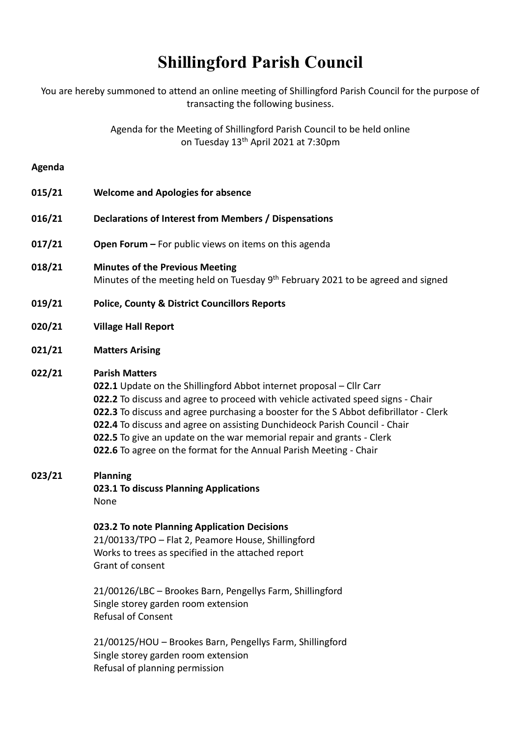# **Shillingford Parish Council**

You are hereby summoned to attend an online meeting of Shillingford Parish Council for the purpose of transacting the following business.

> Agenda for the Meeting of Shillingford Parish Council to be held online on Tuesday 13<sup>th</sup> April 2021 at 7:30pm

#### **Agenda**

| 015/21 | <b>Welcome and Apologies for absence</b>                                                                                               |
|--------|----------------------------------------------------------------------------------------------------------------------------------------|
| 016/21 | Declarations of Interest from Members / Dispensations                                                                                  |
| 017/21 | <b>Open Forum –</b> For public views on items on this agenda                                                                           |
| 018/21 | <b>Minutes of the Previous Meeting</b><br>Minutes of the meeting held on Tuesday 9 <sup>th</sup> February 2021 to be agreed and signed |
| 019/21 | <b>Police, County &amp; District Councillors Reports</b>                                                                               |
| 020/21 | <b>Village Hall Report</b>                                                                                                             |

**021/21 Matters Arising**

# **022/21 Parish Matters**

**022.1** Update on the Shillingford Abbot internet proposal – Cllr Carr **022.2** To discuss and agree to proceed with vehicle activated speed signs - Chair **022.3** To discuss and agree purchasing a booster for the S Abbot defibrillator - Clerk **022.4** To discuss and agree on assisting Dunchideock Parish Council - Chair **022.5** To give an update on the war memorial repair and grants - Clerk **022.6** To agree on the format for the Annual Parish Meeting - Chair

**023/21 Planning**

**023.1 To discuss Planning Applications** None

**023.2 To note Planning Application Decisions** 21/00133/TPO – Flat 2, Peamore House, Shillingford Works to trees as specified in the attached report Grant of consent

21/00126/LBC – Brookes Barn, Pengellys Farm, Shillingford Single storey garden room extension Refusal of Consent

21/00125/HOU – Brookes Barn, Pengellys Farm, Shillingford Single storey garden room extension Refusal of planning permission